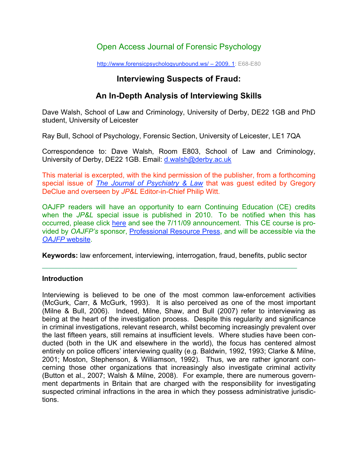# Open Access Journal of Forensic Psychology

http://www.forensicpsychologyunbound.ws/ – 2009. 1: E68-E80

## **Interviewing Suspects of Fraud:**

## **An In-Depth Analysis of Interviewing Skills**

Dave Walsh, School of Law and Criminology, University of Derby, DE22 1GB and PhD student, University of Leicester

Ray Bull, School of Psychology, Forensic Section, University of Leicester, LE1 7QA

Correspondence to: Dave Walsh, Room E803, School of Law and Criminology, University of Derby, DE22 1GB. Email: d.walsh@derby.ac.uk

This material is excerpted, with the kind permission of the publisher, from a forthcoming special issue of *The Journal of Psychiatry & Law* that was guest edited by Gregory DeClue and overseen by *JP&L* Editor-in-Chief Philip Witt.

OAJFP readers will have an opportunity to earn Continuing Education (CE) credits when the *JP&L* special issue is published in 2010. To be notified when this has occurred, please click here and see the 7/11/09 announcement. This CE course is provided by *OAJFP's* sponsor, Professional Resource Press, and will be accessible via the *OAJFP* website.

**Keywords:** law enforcement, interviewing, interrogation, fraud, benefits, public sector

**¯¯¯¯¯¯¯¯¯¯¯¯¯¯¯¯¯¯¯¯¯¯¯¯¯¯¯¯¯¯¯¯¯¯¯¯¯¯¯¯¯¯¯¯¯¯¯¯¯¯¯¯¯¯¯¯¯¯¯¯¯¯¯¯¯¯¯¯¯¯¯¯¯¯¯¯¯¯¯**

#### **Introduction**

Interviewing is believed to be one of the most common law-enforcement activities (McGurk, Carr, & McGurk, 1993). It is also perceived as one of the most important (Milne & Bull, 2006). Indeed, Milne, Shaw, and Bull (2007) refer to interviewing as being at the heart of the investigation process. Despite this regularity and significance in criminal investigations, relevant research, whilst becoming increasingly prevalent over the last fifteen years, still remains at insufficient levels. Where studies have been conducted (both in the UK and elsewhere in the world), the focus has centered almost entirely on police officers' interviewing quality (e.g. Baldwin, 1992, 1993; Clarke & Milne, 2001; Moston, Stephenson, & Williamson, 1992). Thus, we are rather ignorant concerning those other organizations that increasingly also investigate criminal activity (Button et al., 2007; Walsh & Milne, 2008). For example, there are numerous government departments in Britain that are charged with the responsibility for investigating suspected criminal infractions in the area in which they possess administrative jurisdictions.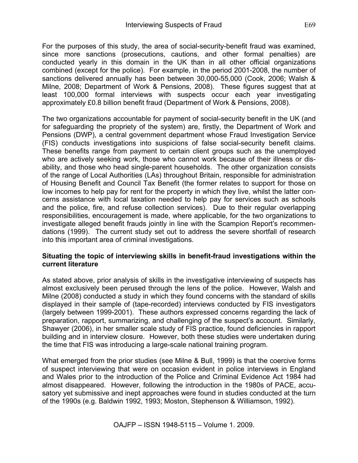For the purposes of this study, the area of social-security-benefit fraud was examined, since more sanctions (prosecutions, cautions, and other formal penalties) are conducted yearly in this domain in the UK than in all other official organizations combined (except for the police). For example, in the period 2001-2008, the number of sanctions delivered annually has been between 30,000-55,000 (Cook, 2006; Walsh & Milne, 2008; Department of Work & Pensions, 2008). These figures suggest that at least 100,000 formal interviews with suspects occur each year investigating approximately £0.8 billion benefit fraud (Department of Work & Pensions, 2008).

The two organizations accountable for payment of social-security benefit in the UK (and for safeguarding the propriety of the system) are, firstly, the Department of Work and Pensions (DWP), a central government department whose Fraud Investigation Service (FIS) conducts investigations into suspicions of false social-security benefit claims. These benefits range from payment to certain client groups such as the unemployed who are actively seeking work, those who cannot work because of their illness or disability, and those who head single-parent households. The other organization consists of the range of Local Authorities (LAs) throughout Britain, responsible for administration of Housing Benefit and Council Tax Benefit (the former relates to support for those on low incomes to help pay for rent for the property in which they live, whilst the latter concerns assistance with local taxation needed to help pay for services such as schools and the police, fire, and refuse collection services). Due to their regular overlapping responsibilities, encouragement is made, where applicable, for the two organizations to investigate alleged benefit frauds jointly in line with the Scampion Report's recommendations (1999). The current study set out to address the severe shortfall of research into this important area of criminal investigations.

#### **Situating the topic of interviewing skills in benefit-fraud investigations within the current literature**

As stated above, prior analysis of skills in the investigative interviewing of suspects has almost exclusively been perused through the lens of the police. However, Walsh and Milne (2008) conducted a study in which they found concerns with the standard of skills displayed in their sample of (tape-recorded) interviews conducted by FIS investigators (largely between 1999-2001). These authors expressed concerns regarding the lack of preparation, rapport, summarizing, and challenging of the suspect's account. Similarly, Shawyer (2006), in her smaller scale study of FIS practice, found deficiencies in rapport building and in interview closure. However, both these studies were undertaken during the time that FIS was introducing a large-scale national training program.

What emerged from the prior studies (see Milne & Bull, 1999) is that the coercive forms of suspect interviewing that were on occasion evident in police interviews in England and Wales prior to the introduction of the Police and Criminal Evidence Act 1984 had almost disappeared. However, following the introduction in the 1980s of PACE, accusatory yet submissive and inept approaches were found in studies conducted at the turn of the 1990s (e.g. Baldwin 1992, 1993; Moston, Stephenson & Williamson, 1992).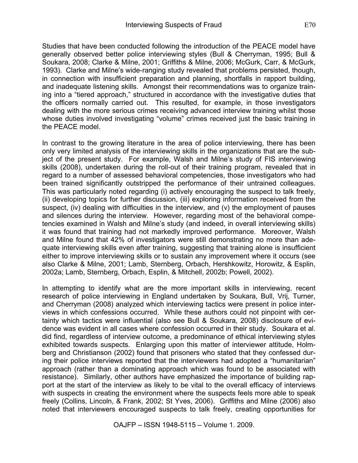Studies that have been conducted following the introduction of the PEACE model have generally observed better police interviewing styles (Bull & Cherryman, 1995; Bull & Soukara, 2008; Clarke & Milne, 2001; Griffiths & Milne, 2006; McGurk, Carr, & McGurk, 1993). Clarke and Milne's wide-ranging study revealed that problems persisted, though, in connection with insufficient preparation and planning, shortfalls in rapport building, and inadequate listening skills. Amongst their recommendations was to organize training into a "tiered approach," structured in accordance with the investigative duties that the officers normally carried out. This resulted, for example, in those investigators dealing with the more serious crimes receiving advanced interview training whilst those whose duties involved investigating "volume" crimes received just the basic training in the PEACE model.

In contrast to the growing literature in the area of police interviewing, there has been only very limited analysis of the interviewing skills in the organizations that are the subject of the present study. For example, Walsh and Milne's study of FIS interviewing skills (2008), undertaken during the roll-out of their training program, revealed that in regard to a number of assessed behavioral competencies, those investigators who had been trained significantly outstripped the performance of their untrained colleagues. This was particularly noted regarding (i) actively encouraging the suspect to talk freely, (ii) developing topics for further discussion, (iii) exploring information received from the suspect, (iv) dealing with difficulties in the interview, and (v) the employment of pauses and silences during the interview. However, regarding most of the behavioral competencies examined in Walsh and Milne's study (and indeed, in overall interviewing skills) it was found that training had not markedly improved performance. Moreover, Walsh and Milne found that 42% of investigators were still demonstrating no more than adequate interviewing skills even after training, suggesting that training alone is insufficient either to improve interviewing skills or to sustain any improvement where it occurs (see also Clarke & Milne, 2001; Lamb, Sternberg, Orbach, Hershkowitz, Horowitz, & Esplin, 2002a; Lamb, Sternberg, Orbach, Esplin, & Mitchell, 2002b; Powell, 2002).

In attempting to identify what are the more important skills in interviewing, recent research of police interviewing in England undertaken by Soukara, Bull, Vrij, Turner, and Cherryman (2008) analyzed which interviewing tactics were present in police interviews in which confessions occurred. While these authors could not pinpoint with certainty which tactics were influential (also see Bull & Soukara, 2008) disclosure of evidence was evident in all cases where confession occurred in their study. Soukara et al. did find, regardless of interview outcome, a predominance of ethical interviewing styles exhibited towards suspects. Enlarging upon this matter of interviewer attitude, Holmberg and Christianson (2002) found that prisoners who stated that they confessed during their police interviews reported that the interviewers had adopted a "humanitarian" approach (rather than a dominating approach which was found to be associated with resistance). Similarly, other authors have emphasized the importance of building rapport at the start of the interview as likely to be vital to the overall efficacy of interviews with suspects in creating the environment where the suspects feels more able to speak freely (Collins, Lincoln, & Frank, 2002; St Yves, 2006). Griffiths and Milne (2006) also noted that interviewers encouraged suspects to talk freely, creating opportunities for

OAJFP – ISSN 1948-5115 – Volume 1. 2009.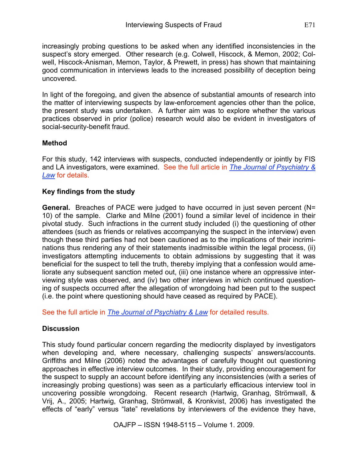increasingly probing questions to be asked when any identified inconsistencies in the suspect's story emerged. Other research (e.g. Colwell, Hiscock, & Memon, 2002; Colwell, Hiscock-Anisman, Memon, Taylor, & Prewett, in press) has shown that maintaining good communication in interviews leads to the increased possibility of deception being uncovered.

In light of the foregoing, and given the absence of substantial amounts of research into the matter of interviewing suspects by law-enforcement agencies other than the police, the present study was undertaken. A further aim was to explore whether the various practices observed in prior (police) research would also be evident in investigators of social-security-benefit fraud.

### **Method**

For this study, 142 interviews with suspects, conducted independently or jointly by FIS and LA investigators, were examined. See the full article in *The Journal of Psychiatry & Law* for details.

### **Key findings from the study**

**General.** Breaches of PACE were judged to have occurred in just seven percent (N= 10) of the sample. Clarke and Milne (2001) found a similar level of incidence in their pivotal study. Such infractions in the current study included (i) the questioning of other attendees (such as friends or relatives accompanying the suspect in the interview) even though these third parties had not been cautioned as to the implications of their incriminations thus rendering any of their statements inadmissible within the legal process, (ii) investigators attempting inducements to obtain admissions by suggesting that it was beneficial for the suspect to tell the truth, thereby implying that a confession would ameliorate any subsequent sanction meted out, (iii) one instance where an oppressive interviewing style was observed, and (iv) two other interviews in which continued questioning of suspects occurred after the allegation of wrongdoing had been put to the suspect (i.e. the point where questioning should have ceased as required by PACE).

See the full article in *The Journal of Psychiatry & Law* for detailed results.

#### **Discussion**

This study found particular concern regarding the mediocrity displayed by investigators when developing and, where necessary, challenging suspects' answers/accounts. Griffiths and Milne (2006) noted the advantages of carefully thought out questioning approaches in effective interview outcomes. In their study, providing encouragement for the suspect to supply an account before identifying any inconsistencies (with a series of increasingly probing questions) was seen as a particularly efficacious interview tool in uncovering possible wrongdoing. Recent research (Hartwig, Granhag, Strömwall, & Vrij, A., 2005; Hartwig, Granhag, Strömwall, & Kronkvist, 2006) has investigated the effects of "early" versus "late" revelations by interviewers of the evidence they have,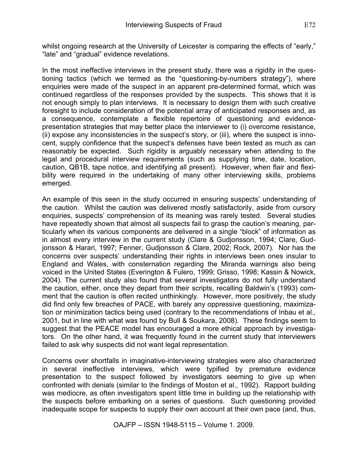whilst ongoing research at the University of Leicester is comparing the effects of "early," "late" and "gradual" evidence revelations.

In the most ineffective interviews in the present study, there was a rigidity in the questioning tactics (which we termed as the "questioning-by-numbers strategy"), where enquiries were made of the suspect in an apparent pre-determined format, which was continued regardless of the responses provided by the suspects. This shows that it is not enough simply to plan interviews. It is necessary to design them with such creative foresight to include consideration of the potential array of anticipated responses and, as a consequence, contemplate a flexible repertoire of questioning and evidencepresentation strategies that may better place the interviewer to (i) overcome resistance, (ii) expose any inconsistencies in the suspect's story, or (iii), where the suspect is innocent, supply confidence that the suspect's defenses have been tested as much as can reasonably be expected. Such rigidity is arguably necessary when attending to the legal and procedural interview requirements (such as supplying time, date, location, caution, QB1B, tape notice, and identifying all present). However, when flair and flexibility were required in the undertaking of many other interviewing skills, problems emerged.

An example of this seen in the study occurred in ensuring suspects' understanding of the caution. Whilst the caution was delivered mostly satisfactorily, aside from cursory enquiries, suspects' comprehension of its meaning was rarely tested. Several studies have repeatedly shown that almost all suspects fail to grasp the caution's meaning, particularly when its various components are delivered in a single "block" of information as in almost every interview in the current study (Clare & Gudjonsson, 1994; Clare, Gudjonsson & Harari, 1997; Fenner, Gudjonsson & Clare, 2002; Rock, 2007). Nor has the concerns over suspects' understanding their rights in interviews been ones insular to England and Wales, with consternation regarding the Miranda warnings also being voiced in the United States (Everington & Fulero, 1999; Grisso, 1998; Kassin & Nowick, 2004). The current study also found that several investigators do not fully understand the caution, either, once they depart from their scripts, recalling Baldwin's (1993) comment that the caution is often recited unthinkingly. However, more positively, the study did find only few breaches of PACE, with barely any oppressive questioning, maximization or minimization tactics being used (contrary to the recommendations of Inbau et al., 2001, but in line with what was found by Bull & Soukara, 2008). These findings seem to suggest that the PEACE model has encouraged a more ethical approach by investigators. On the other hand, it was frequently found in the current study that interviewers failed to ask why suspects did not want legal representation.

Concerns over shortfalls in imaginative-interviewing strategies were also characterized in several ineffective interviews, which were typified by premature evidence presentation to the suspect followed by investigators seeming to give up when confronted with denials (similar to the findings of Moston et al., 1992). Rapport building was mediocre, as often investigators spent little time in building up the relationship with the suspects before embarking on a series of questions. Such questioning provided inadequate scope for suspects to supply their own account at their own pace (and, thus,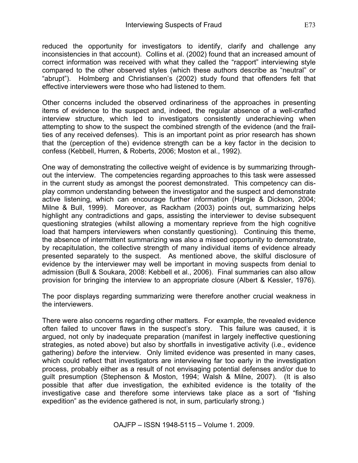reduced the opportunity for investigators to identify, clarify and challenge any inconsistencies in that account). Collins et al. (2002) found that an increased amount of correct information was received with what they called the "rapport" interviewing style compared to the other observed styles (which these authors describe as "neutral" or "abrupt"). Holmberg and Christiansen's (2002) study found that offenders felt that effective interviewers were those who had listened to them.

Other concerns included the observed ordinariness of the approaches in presenting items of evidence to the suspect and, indeed, the regular absence of a well-crafted interview structure, which led to investigators consistently underachieving when attempting to show to the suspect the combined strength of the evidence (and the frailties of any received defenses). This is an important point as prior research has shown that the (perception of the) evidence strength can be a key factor in the decision to confess (Kebbell, Hurren, & Roberts, 2006; Moston et al., 1992).

One way of demonstrating the collective weight of evidence is by summarizing throughout the interview. The competencies regarding approaches to this task were assessed in the current study as amongst the poorest demonstrated. This competency can display common understanding between the investigator and the suspect and demonstrate active listening, which can encourage further information (Hargie & Dickson, 2004; Milne & Bull, 1999). Moreover, as Rackham (2003) points out, summarizing helps highlight any contradictions and gaps, assisting the interviewer to devise subsequent questioning strategies (whilst allowing a momentary reprieve from the high cognitive load that hampers interviewers when constantly questioning). Continuing this theme, the absence of intermittent summarizing was also a missed opportunity to demonstrate, by recapitulation, the collective strength of many individual items of evidence already presented separately to the suspect. As mentioned above, the skilful disclosure of evidence by the interviewer may well be important in moving suspects from denial to admission (Bull & Soukara, 2008: Kebbell et al., 2006). Final summaries can also allow provision for bringing the interview to an appropriate closure (Albert & Kessler, 1976).

The poor displays regarding summarizing were therefore another crucial weakness in the interviewers.

There were also concerns regarding other matters. For example, the revealed evidence often failed to uncover flaws in the suspect's story. This failure was caused, it is argued, not only by inadequate preparation (manifest in largely ineffective questioning strategies, as noted above) but also by shortfalls in investigative activity (i.e., evidence gathering) *before* the interview. Only limited evidence was presented in many cases, which could reflect that investigators are interviewing far too early in the investigation process, probably either as a result of not envisaging potential defenses and/or due to guilt presumption (Stephenson & Moston, 1994; Walsh & Milne, 2007). (It is also possible that after due investigation, the exhibited evidence is the totality of the investigative case and therefore some interviews take place as a sort of "fishing expedition" as the evidence gathered is not, in sum, particularly strong.)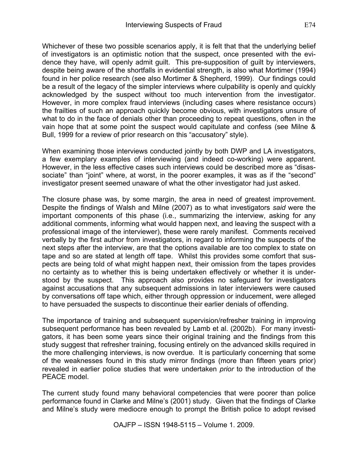Whichever of these two possible scenarios apply, it is felt that that the underlying belief of investigators is an optimistic notion that the suspect, once presented with the evidence they have, will openly admit guilt. This pre-supposition of guilt by interviewers, despite being aware of the shortfalls in evidential strength, is also what Mortimer (1994) found in her police research (see also Mortimer & Shepherd, 1999). Our findings could be a result of the legacy of the simpler interviews where culpability is openly and quickly acknowledged by the suspect without too much intervention from the investigator. However, in more complex fraud interviews (including cases where resistance occurs) the frailties of such an approach quickly become obvious, with investigators unsure of what to do in the face of denials other than proceeding to repeat questions, often in the vain hope that at some point the suspect would capitulate and confess (see Milne & Bull, 1999 for a review of prior research on this "accusatory" style).

When examining those interviews conducted jointly by both DWP and LA investigators, a few exemplary examples of interviewing (and indeed co-working) were apparent. However, in the less effective cases such interviews could be described more as "disassociate" than "joint" where, at worst, in the poorer examples, it was as if the "second" investigator present seemed unaware of what the other investigator had just asked.

The closure phase was, by some margin, the area in need of greatest improvement. Despite the findings of Walsh and Milne (2007) as to what investigators *said* were the important components of this phase (i.e., summarizing the interview, asking for any additional comments, informing what would happen next, and leaving the suspect with a professional image of the interviewer), these were rarely manifest. Comments received verbally by the first author from investigators, in regard to informing the suspects of the next steps after the interview, are that the options available are too complex to state on tape and so are stated at length off tape. Whilst this provides some comfort that suspects are being told of what might happen next, their omission from the tapes provides no certainty as to whether this is being undertaken effectively or whether it is understood by the suspect. This approach also provides no safeguard for investigators against accusations that any subsequent admissions in later interviewers were caused by conversations off tape which, either through oppression or inducement, were alleged to have persuaded the suspects to discontinue their earlier denials of offending.

The importance of training and subsequent supervision/refresher training in improving subsequent performance has been revealed by Lamb et al. (2002b). For many investigators, it has been some years since their original training and the findings from this study suggest that refresher training, focusing entirely on the advanced skills required in the more challenging interviews, is now overdue. It is particularly concerning that some of the weaknesses found in this study mirror findings (more than fifteen years prior) revealed in earlier police studies that were undertaken *prior* to the introduction of the PEACE model.

The current study found many behavioral competencies that were poorer than police performance found in Clarke and Milne's (2001) study. Given that the findings of Clarke and Milne's study were mediocre enough to prompt the British police to adopt revised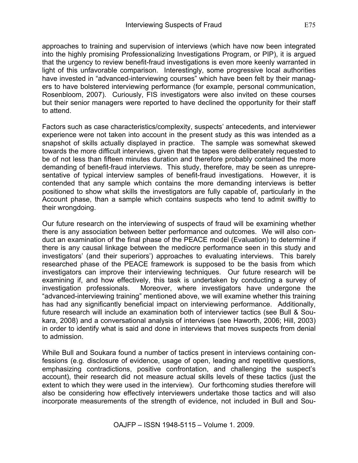approaches to training and supervision of interviews (which have now been integrated into the highly promising Professionalizing Investigations Program, or PIP), it is argued that the urgency to review benefit-fraud investigations is even more keenly warranted in light of this unfavorable comparison. Interestingly, some progressive local authorities have invested in "advanced-interviewing courses" which have been felt by their managers to have bolstered interviewing performance (for example, personal communication, Rosenbloom, 2007). Curiously, FIS investigators were also invited on these courses but their senior managers were reported to have declined the opportunity for their staff to attend.

Factors such as case characteristics/complexity, suspects' antecedents, and interviewer experience were not taken into account in the present study as this was intended as a snapshot of skills actually displayed in practice. The sample was somewhat skewed towards the more difficult interviews, given that the tapes were deliberately requested to be of not less than fifteen minutes duration and therefore probably contained the more demanding of benefit-fraud interviews. This study, therefore, may be seen as unrepresentative of typical interview samples of benefit-fraud investigations. However, it is contended that any sample which contains the more demanding interviews is better positioned to show what skills the investigators are fully capable of, particularly in the Account phase, than a sample which contains suspects who tend to admit swiftly to their wrongdoing.

Our future research on the interviewing of suspects of fraud will be examining whether there is any association between better performance and outcomes. We will also conduct an examination of the final phase of the PEACE model (Evaluation) to determine if there is any causal linkage between the mediocre performance seen in this study and investigators' (and their superiors') approaches to evaluating interviews. This barely researched phase of the PEACE framework is supposed to be the basis from which investigators can improve their interviewing techniques. Our future research will be examining if, and how effectively, this task is undertaken by conducting a survey of investigation professionals. Moreover, where investigators have undergone the "advanced-interviewing training" mentioned above, we will examine whether this training has had any significantly beneficial impact on interviewing performance. Additionally, future research will include an examination both of interviewer tactics (see Bull & Soukara, 2008) and a conversational analysis of interviews (see Haworth, 2006; Hill, 2003) in order to identify what is said and done in interviews that moves suspects from denial to admission.

While Bull and Soukara found a number of tactics present in interviews containing confessions (e.g. disclosure of evidence, usage of open, leading and repetitive questions, emphasizing contradictions, positive confrontation, and challenging the suspect's account), their research did not measure actual skills levels of these tactics (just the extent to which they were used in the interview). Our forthcoming studies therefore will also be considering how effectively interviewers undertake those tactics and will also incorporate measurements of the strength of evidence, not included in Bull and Sou-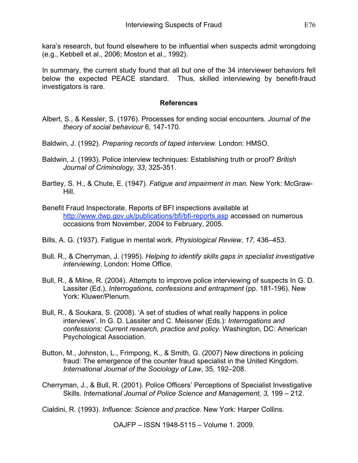kara's research, but found elsewhere to be influential when suspects admit wrongdoing (e.g., Kebbell et al., 2006; Moston et al., 1992).

In summary, the current study found that all but one of the 34 interviewer behaviors fell below the expected PEACE standard. Thus, skilled interviewing by benefit-fraud investigators is rare.

#### **References**

- Albert, S., & Kessler, S. (1976). Processes for ending social encounters. *Journal of the theory of social behaviour* 6, 147-170.
- Baldwin, J. (1992). *Preparing records of taped interview.* London: HMSO.
- Baldwin, J. (1993). Police interview techniques: Establishing truth or proof? *British Journal of Criminology, 33*, 325-351.
- Bartley, S. H., & Chute, E. (1947). *Fatigue and impairment in man.* New York: McGraw-Hill.
- Benefit Fraud Inspectorate. Reports of BFI inspections available at http://www.dwp.gov.uk/publications/bfi/bfi-reports.asp accessed on numerous occasions from November, 2004 to February, 2005.
- Bills, A. G. (1937). Fatigue in mental work. *Physiological Review, 17,* 436–453.
- Bull. R., & Cherryman, J. (1995). *Helping to identify skills gaps in specialist investigative interviewing*. London: Home Office.
- Bull, R., & Milne, R. (2004). Attempts to improve police interviewing of suspects In G. D. Lassiter (Ed.), *Interrogations, confessions and entrapment* (pp. 181-196). New York: Kluwer/Plenum.
- Bull, R., & Soukara, S. (2008). 'A set of studies of what really happens in police interviews'. In G. D. Lassiter and C. Meissner (Eds.): *Interrogations and confessions: Current research, practice and policy.* Washington, DC: American Psychological Association.
- Button, M., Johnston, L., Frimpong, K., & Smith, G. (2007) New directions in policing fraud: The emergence of the counter fraud specialist in the United Kingdom. *International Journal of the Sociology of Law*, 35, 192–208.
- Cherryman, J., & Bull, R. (2001). Police Officers' Perceptions of Specialist Investigative Skills. *International Journal of Police Science and Management, 3,* 199 – 212.

Cialdini, R. (1993). *Influence: Science and practice*. New York: Harper Collins.

OAJFP – ISSN 1948-5115 – Volume 1. 2009.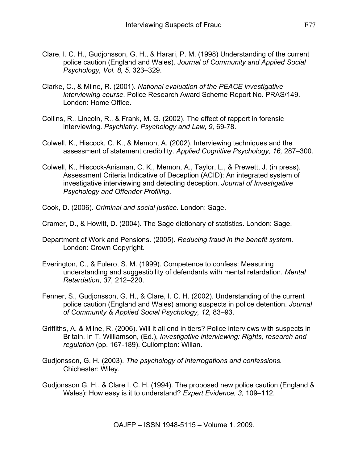- Clare, I. C. H., Gudjonsson, G. H., & Harari, P. M. (1998) Understanding of the current police caution (England and Wales). *Journal of Community and Applied Social Psychology, Vol. 8, 5.* 323–329.
- Clarke, C., & Milne, R. (2001). *National evaluation of the PEACE investigative interviewing course.* Police Research Award Scheme Report No. PRAS/149. London: Home Office.
- Collins, R., Lincoln, R., & Frank, M. G. (2002). The effect of rapport in forensic interviewing. *Psychiatry, Psychology and Law, 9,* 69-78.
- Colwell, K., Hiscock, C. K., & Memon, A. (2002). Interviewing techniques and the assessment of statement credibility. *Applied Cognitive Psychology, 16,* 287–300.
- Colwell, K., Hiscock-Anisman, C. K., Memon, A., Taylor, L., & Prewett, J. (in press). Assessment Criteria Indicative of Deception (ACID): An integrated system of investigative interviewing and detecting deception. *Journal of Investigative Psychology and Offender Profiling*.
- Cook, D. (2006). *Criminal and social justice*. London: Sage.
- Cramer, D., & Howitt, D. (2004). The Sage dictionary of statistics. London: Sage.
- Department of Work and Pensions. (2005). *Reducing fraud in the benefit system*. London: Crown Copyright.
- Everington, C., & Fulero, S. M. (1999). Competence to confess: Measuring understanding and suggestibility of defendants with mental retardation. *Mental Retardation*, *37,* 212–220.
- Fenner, S., Gudjonsson, G. H., & Clare, I. C. H. (2002). Understanding of the current police caution (England and Wales) among suspects in police detention. *Journal of Community & Applied Social Psychology, 12,* 83–93.
- Griffiths, A. & Milne, R. (2006). Will it all end in tiers? Police interviews with suspects in Britain. In T. Williamson, (Ed.), *Investigative interviewing: Rights, research and regulation* (pp. 167-189). Cullompton: Willan.
- Gudjonsson, G. H. (2003). *The psychology of interrogations and confessions.*  Chichester: Wiley.
- Gudjonsson G. H., & Clare I. C. H. (1994). The proposed new police caution (England & Wales): How easy is it to understand? *Expert Evidence, 3,* 109–112.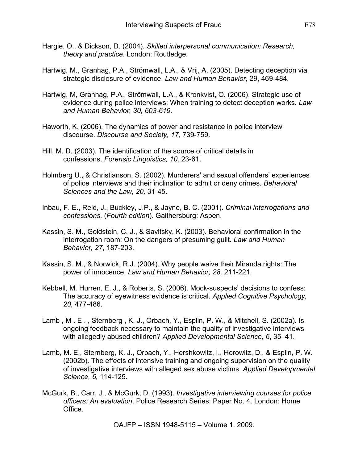- Hargie, O., & Dickson, D. (2004). *Skilled interpersonal communication: Research, theory and practice*. London: Routledge.
- Hartwig, M., Granhag, P.A., Strömwall, L.A., & Vrij, A. (2005). Detecting deception via strategic disclosure of evidence. *Law and Human Behavior,* 29, 469-484*.*
- Hartwig, M, Granhag, P.A., Strömwall, L.A., & Kronkvist, O. (2006). Strategic use of evidence during police interviews: When training to detect deception works. *Law and Human Behavior, 30, 603-619.*
- Haworth, K. (2006). The dynamics of power and resistance in police interview discourse. *Discourse and Society, 17,* 739-759.
- Hill, M. D. (2003). The identification of the source of critical details in confessions. *Forensic Linguistics, 10,* 23-61.
- Holmberg U., & Christianson, S. (2002). Murderers' and sexual offenders' experiences of police interviews and their inclination to admit or deny crimes*. Behavioral Sciences and the Law, 20,* 31-45.
- Inbau, F. E., Reid, J., Buckley, J.P., & Jayne, B. C. (2001). *Criminal interrogations and confessions.* (*Fourth edition*). Gaithersburg: Aspen.
- Kassin, S. M., Goldstein, C. J., & Savitsky, K. (2003). Behavioral confirmation in the interrogation room: On the dangers of presuming guilt. *Law and Human Behavior, 27*, 187-203.
- Kassin, S. M., & Norwick, R.J. (2004). Why people waive their Miranda rights: The power of innocence. *Law and Human Behavior, 28,* 211-221.
- Kebbell, M. Hurren, E. J., & Roberts, S. (2006). Mock-suspects' decisions to confess: The accuracy of eyewitness evidence is critical. *Applied Cognitive Psychology, 20,* 477-486.
- Lamb , M . E . , Sternberg , K. J., Orbach, Y., Esplin, P. W., & Mitchell, S. (2002a). Is ongoing feedback necessary to maintain the quality of investigative interviews with allegedly abused children? *Applied Developmental Science, 6*, 35–41.
- Lamb, M. E., Sternberg, K. J., Orbach, Y., Hershkowitz, I., Horowitz, D., & Esplin, P. W. (2002b). The effects of intensive training and ongoing supervision on the quality of investigative interviews with alleged sex abuse victims. *Applied Developmental Science, 6,* 114-125.
- McGurk, B., Carr, J., & McGurk, D. (1993). *Investigative interviewing courses for police officers: An evaluation*. Police Research Series: Paper No. 4. London: Home Office.

OAJFP – ISSN 1948-5115 – Volume 1. 2009.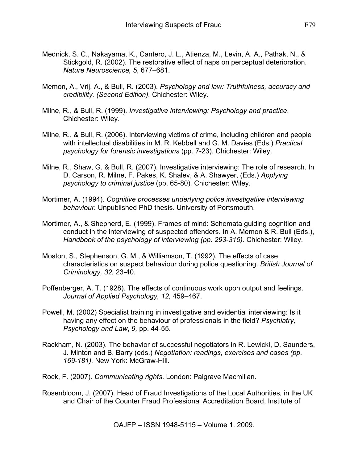- Mednick, S. C., Nakayama, K., Cantero, J. L., Atienza, M., Levin, A. A., Pathak, N., & Stickgold, R. (2002). The restorative effect of naps on perceptual deterioration. *Nature Neuroscience, 5*, 677–681.
- Memon, A., Vrij, A., & Bull, R. (2003). *Psychology and law: Truthfulness, accuracy and credibility. (Second Edition).* Chichester: Wiley.
- Milne, R., & Bull, R. (1999). *Investigative interviewing: Psychology and practice*. Chichester: Wiley.
- Milne, R., & Bull, R. (2006). Interviewing victims of crime, including children and people with intellectual disabilities in M. R. Kebbell and G. M. Davies (Eds.) *Practical psychology for forensic investigations* (pp. 7-23). Chichester: Wiley.
- Milne, R., Shaw, G. & Bull, R. (2007). Investigative interviewing: The role of research. In D. Carson, R. Milne, F. Pakes, K. Shalev, & A. Shawyer, (Eds.) *Applying psychology to criminal justice* (pp. 65-80)*.* Chichester: Wiley.
- Mortimer, A. (1994). *Cognitive processes underlying police investigative interviewing behaviour.* Unpublished PhD thesis. University of Portsmouth.
- Mortimer, A., & Shepherd, E. (1999). Frames of mind: Schemata guiding cognition and conduct in the interviewing of suspected offenders. In A. Memon & R. Bull (Eds.), *Handbook of the psychology of interviewing (pp. 293-315).* Chichester: Wiley.
- Moston, S., Stephenson, G. M., & Williamson, T. (1992). The effects of case characteristics on suspect behaviour during police questioning. *British Journal of Criminology, 32,* 23-40.
- Poffenberger, A. T. (1928). The effects of continuous work upon output and feelings. *Journal of Applied Psychology, 12,* 459–467.
- Powell, M. (2002) Specialist training in investigative and evidential interviewing: Is it having any effect on the behaviour of professionals in the field? *Psychiatry, Psychology and Law*, *9,* pp. 44-55.
- Rackham, N. (2003). The behavior of successful negotiators in R. Lewicki, D. Saunders, J. Minton and B. Barry (eds.) *Negotiation: readings, exercises and cases (pp. 169-181).* New York: McGraw-Hill.
- Rock, F. (2007). *Communicating rights*. London: Palgrave Macmillan.
- Rosenbloom, J. (2007). Head of Fraud Investigations of the Local Authorities*,* in the UK and Chair of the Counter Fraud Professional Accreditation Board, Institute of